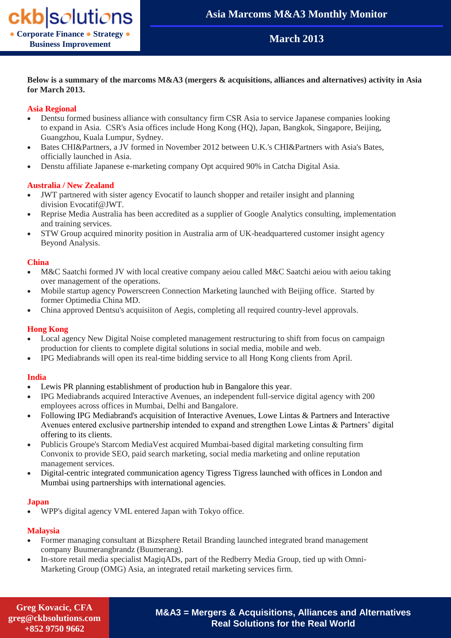## **March 2013**

**Below is a summary of the marcoms M&A3 (mergers & acquisitions, alliances and alternatives) activity in Asia for March 2013.**

#### **Asia Regional**

- Dentsu formed business alliance with consultancy firm CSR Asia to service Japanese companies looking to expand in Asia. CSR's Asia offices include Hong Kong (HQ), Japan, Bangkok, Singapore, Beijing, Guangzhou, Kuala Lumpur, Sydney.
- Bates CHI&Partners, a JV formed in November 2012 between U.K.'s CHI&Partners with Asia's Bates, officially launched in Asia.
- Denstu affiliate Japanese e-marketing company Opt acquired 90% in Catcha Digital Asia.

#### **Australia / New Zealand**

- JWT partnered with sister agency Evocatif to launch shopper and retailer insight and planning division Evocatif@JWT.
- Reprise Media Australia has been accredited as a supplier of Google Analytics consulting, implementation and training services.
- STW Group acquired minority position in Australia arm of UK-headquartered customer insight agency Beyond Analysis.

#### **China**

- M&C Saatchi formed JV with local creative company aeiou called M&C Saatchi aeiou with aeiou taking over management of the operations.
- Mobile startup agency Powerscreen Connection Marketing launched with Beijing office. Started by former Optimedia China MD.
- China approved Dentsu's acquisiiton of Aegis, completing all required country-level approvals.

#### **Hong Kong**

- Local agency New Digital Noise completed management restructuring to shift from focus on campaign production for clients to complete digital solutions in social media, mobile and web.
- IPG Mediabrands will open its real-time bidding service to all Hong Kong clients from April.

#### **India**

- Lewis PR planning establishment of production hub in Bangalore this year.
- IPG Mediabrands acquired Interactive Avenues, an independent full-service digital agency with 200 employees across offices in Mumbai, Delhi and Bangalore.
- Following IPG Mediabrand's acquisition of Interactive Avenues, Lowe Lintas & Partners and Interactive Avenues entered exclusive partnership intended to expand and strengthen Lowe Lintas & Partners' digital offering to its clients.
- Publicis Groupe's Starcom MediaVest acquired Mumbai-based digital marketing consulting firm Convonix to provide SEO, paid search marketing, social media marketing and online reputation management services.
- Digital-centric integrated communication agency Tigress Tigress launched with offices in London and Mumbai using partnerships with international agencies.

#### **Japan**

WPP's digital agency VML entered Japan with Tokyo office.

#### **Malaysia**

- Former managing consultant at Bizsphere Retail Branding launched integrated brand management company Buumerangbrandz (Buumerang).
- In-store retail media specialist MagiqADs, part of the Redberry Media Group, tied up with Omni-Marketing Group (OMG) Asia, an integrated retail marketing services firm.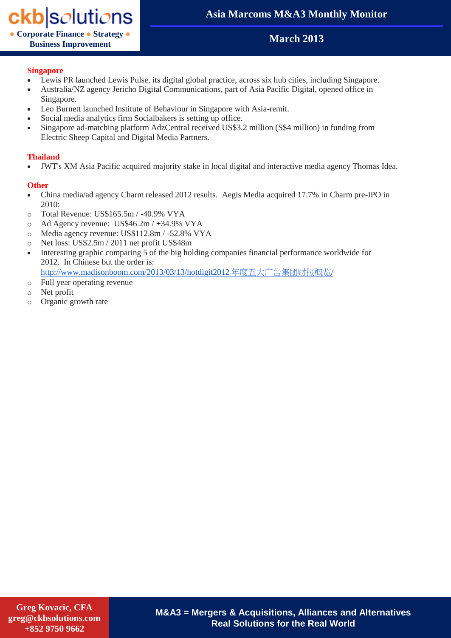# ckb|solutions

**● Corporate Finance ● Strategy ● Business Improvement**

# **Asia Marcoms M&A3 Monthly Monitor**

# **March 2013**

#### **Singapore**

- Lewis PR launched Lewis Pulse, its digital global practice, across six hub cities, including Singapore.
- Australia/NZ agency Jericho Digital Communications, part of Asia Pacific Digital, opened office in Singapore.
- Leo Burnett launched Institute of Behaviour in Singapore with Asia-remit.
- Social media analytics firm Socialbakers is setting up office.
- Singapore ad-matching platform AdzCentral received US\$3.2 million (S\$4 million) in funding from Electric Sheep Capital and Digital Media Partners.

## **Thailand**

JWT's XM Asia Pacific acquired majority stake in local digital and interactive media agency Thomas Idea.

## **Other**

- China media/ad agency Charm released 2012 results. Aegis Media acquired 17.7% in Charm pre-IPO in  $2010$
- o Total Revenue: US\$165.5m / -40.9% VYA
- o Ad Agency revenue: US\$46.2m / +34.9% VYA
- o Media agency revenue: US\$112.8m / -52.8% VYA
- o Net loss: US\$2.5m / 2011 net profit US\$48m
- Interesting graphic comparing 5 of the big holding companies financial performance worldwide for 2012. In Chinese but the order is:

[http://www.madisonboom.com/2013/03/13/hotdigit2012](http://www.madisonboom.com/2013/03/13/hotdigit2012%E5%B9%B4%E5%BA%A6%E4%BA%94%E5%A4%A7%E5%B9%BF%E5%91%8A%E9%9B%86%E5%9B%A2%E8%B4%A2%E6%8A%A5%E6%A6%82%E8%A7%88/) 年度五大广告集团财报概览/

- o Full year operating revenue
- o Net profit
- o Organic growth rate